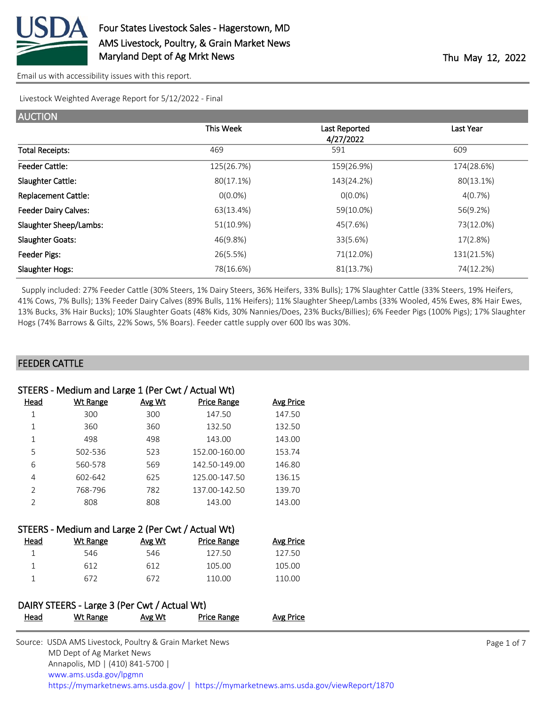

Livestock Weighted Average Report for 5/12/2022 - Final

| <b>AUCTION</b>              |            |               |            |
|-----------------------------|------------|---------------|------------|
|                             | This Week  | Last Reported | Last Year  |
|                             |            | 4/27/2022     |            |
| <b>Total Receipts:</b>      | 469        | 591           | 609        |
| <b>Feeder Cattle:</b>       | 125(26.7%) | 159(26.9%)    | 174(28.6%) |
| <b>Slaughter Cattle:</b>    | 80(17.1%)  | 143(24.2%)    | 80(13.1%)  |
| <b>Replacement Cattle:</b>  | $O(0.0\%)$ | $O(0.0\%)$    | 4(0.7%)    |
| <b>Feeder Dairy Calves:</b> | 63(13.4%)  | 59(10.0%)     | 56(9.2%)   |
| Slaughter Sheep/Lambs:      | 51(10.9%)  | 45(7.6%)      | 73(12.0%)  |
| <b>Slaughter Goats:</b>     | 46(9.8%)   | 33(5.6%)      | 17(2.8%)   |
| Feeder Pigs:                | 26(5.5%)   | 71(12.0%)     | 131(21.5%) |
| <b>Slaughter Hogs:</b>      | 78(16.6%)  | 81(13.7%)     | 74(12.2%)  |

 Supply included: 27% Feeder Cattle (30% Steers, 1% Dairy Steers, 36% Heifers, 33% Bulls); 17% Slaughter Cattle (33% Steers, 19% Heifers, 41% Cows, 7% Bulls); 13% Feeder Dairy Calves (89% Bulls, 11% Heifers); 11% Slaughter Sheep/Lambs (33% Wooled, 45% Ewes, 8% Hair Ewes, 13% Bucks, 3% Hair Bucks); 10% Slaughter Goats (48% Kids, 30% Nannies/Does, 23% Bucks/Billies); 6% Feeder Pigs (100% Pigs); 17% Slaughter Hogs (74% Barrows & Gilts, 22% Sows, 5% Boars). Feeder cattle supply over 600 lbs was 30%.

## FEEDER CATTLE

| STEERS - Medium and Large 1 (Per Cwt / Actual Wt) |          |        |                    |           |  |
|---------------------------------------------------|----------|--------|--------------------|-----------|--|
| Head                                              | Wt Range | Avg Wt | <b>Price Range</b> | Avg Price |  |
| 1                                                 | 300      | 300    | 147.50             | 147.50    |  |
| 1                                                 | 360      | 360    | 132.50             | 132.50    |  |
| 1                                                 | 498      | 498    | 143.00             | 143.00    |  |
| 5                                                 | 502-536  | 523    | 152.00-160.00      | 153.74    |  |
| 6                                                 | 560-578  | 569    | 142.50-149.00      | 146.80    |  |
| 4                                                 | 602-642  | 625    | 125.00-147.50      | 136.15    |  |
| $\mathcal{P}$                                     | 768-796  | 782    | 137.00-142.50      | 139.70    |  |
| $\mathfrak{D}$                                    | 808      | 808    | 143.00             | 143.00    |  |

| STEERS - Medium and Large 2 (Per Cwt / Actual Wt) |          |        |                    |                  |  |
|---------------------------------------------------|----------|--------|--------------------|------------------|--|
| Head                                              | Wt Range | Avg Wt | <b>Price Range</b> | <b>Avg Price</b> |  |
|                                                   | 546      | 546    | 127.50             | 127.50           |  |
|                                                   | 612      | 612    | 105.00             | 105.00           |  |
|                                                   | 672      | 672    | 110.00             | 110.00           |  |

# DAIRY STEERS - Large 3 (Per Cwt / Actual Wt) Head Wt Range Avg Wt Price Range Avg Price

| Source: USDA AMS Livestock, Poultry & Grain Market News                                |
|----------------------------------------------------------------------------------------|
| MD Dept of Ag Market News                                                              |
| Annapolis, MD   (410) 841-5700                                                         |
| www.ams.usda.gov/lpgmn                                                                 |
| https://mymarketnews.ams.usda.gov/   https://mymarketnews.ams.usda.gov/viewReport/1870 |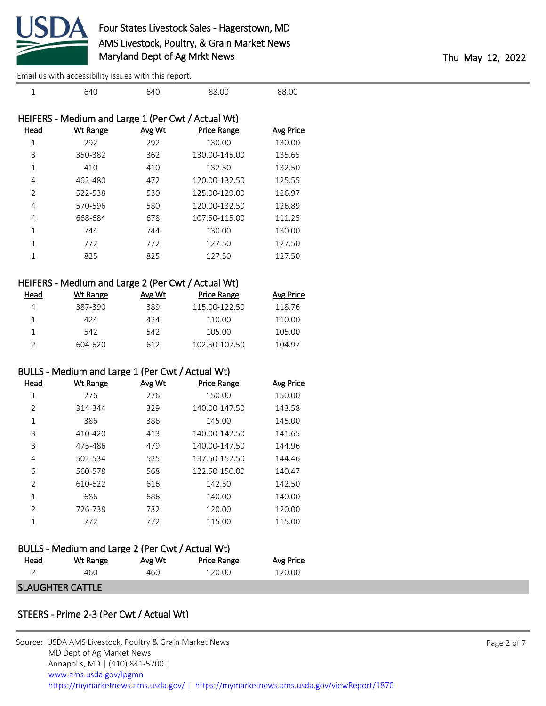

|              | HEIFERS - Medium and Large 1 (Per Cwt / Actual Wt) |        |                    |                  |
|--------------|----------------------------------------------------|--------|--------------------|------------------|
| Head         | Wt Range                                           | Avg Wt | <b>Price Range</b> | <b>Avg Price</b> |
| 1            | 292                                                | 292    | 130.00             | 130.00           |
| 3            | 350-382                                            | 362    | 130.00-145.00      | 135.65           |
| 1            | 410                                                | 410    | 132.50             | 132.50           |
| 4            | 462-480                                            | 472    | 120.00-132.50      | 125.55           |
| 2            | 522-538                                            | 530    | 125.00-129.00      | 126.97           |
| 4            | 570-596                                            | 580    | 120.00-132.50      | 126.89           |
| 4            | 668-684                                            | 678    | 107.50-115.00      | 111.25           |
| 1            | 744                                                | 744    | 130.00             | 130.00           |
| $\mathbf{1}$ | 772                                                | 772    | 127.50             | 127.50           |
|              | 825                                                | 825    | 127.50             | 127.50           |
|              |                                                    |        |                    |                  |

1 640 640 88.00 88.00

| HEIFERS - Medium and Large 2 (Per Cwt / Actual Wt) |  |
|----------------------------------------------------|--|
|----------------------------------------------------|--|

| Head | Wt Range | Avg Wt | Price Range   | <b>Avg Price</b> |
|------|----------|--------|---------------|------------------|
| Δ    | 387-390  | 389    | 115.00-122.50 | 118.76           |
|      | 424      | 474    | 110.00        | 110.00           |
|      | 542      | 542    | 105.00        | 105.00           |
|      | 604-620  | 612    | 102.50-107.50 | 104.97           |

# BULLS - Medium and Large 1 (Per Cwt / Actual Wt)

| Head | <b>Wt Range</b> | Avg Wt | <b>Price Range</b> | <b>Avg Price</b> |
|------|-----------------|--------|--------------------|------------------|
| 1    | 276             | 276    | 150.00             | 150.00           |
| 2    | 314-344         | 329    | 140.00-147.50      | 143.58           |
| 1    | 386             | 386    | 145.00             | 145.00           |
| 3    | 410-420         | 413    | 140.00-142.50      | 141.65           |
| 3    | 475-486         | 479    | 140.00-147.50      | 144.96           |
| 4    | 502-534         | 525    | 137.50-152.50      | 144.46           |
| 6    | 560-578         | 568    | 122.50-150.00      | 140.47           |
| 2    | 610-622         | 616    | 142.50             | 142.50           |
| 1    | 686             | 686    | 140.00             | 140.00           |
| 2    | 726-738         | 732    | 120.00             | 120.00           |
| 1    | 772             | 772    | 115.00             | 115.00           |

| BULLS - Medium and Large 2 (Per Cwt / Actual Wt) |          |        |             |           |  |  |  |
|--------------------------------------------------|----------|--------|-------------|-----------|--|--|--|
| Head                                             | Wt Range | Avg Wt | Price Range | Avg Price |  |  |  |
|                                                  | 460      | 460.   | 120.00      | 120.00    |  |  |  |
| <b>SLAUGHTER CATTLE</b>                          |          |        |             |           |  |  |  |

## STEERS - Prime 2-3 (Per Cwt / Actual Wt)

| Source: USDA AMS Livestock, Poultry & Grain Market News                                |
|----------------------------------------------------------------------------------------|
| MD Dept of Ag Market News                                                              |
| Annapolis, MD   (410) 841-5700                                                         |
| www.ams.usda.gov/lpgmn                                                                 |
| https://mymarketnews.ams.usda.gov/   https://mymarketnews.ams.usda.gov/viewReport/1870 |
|                                                                                        |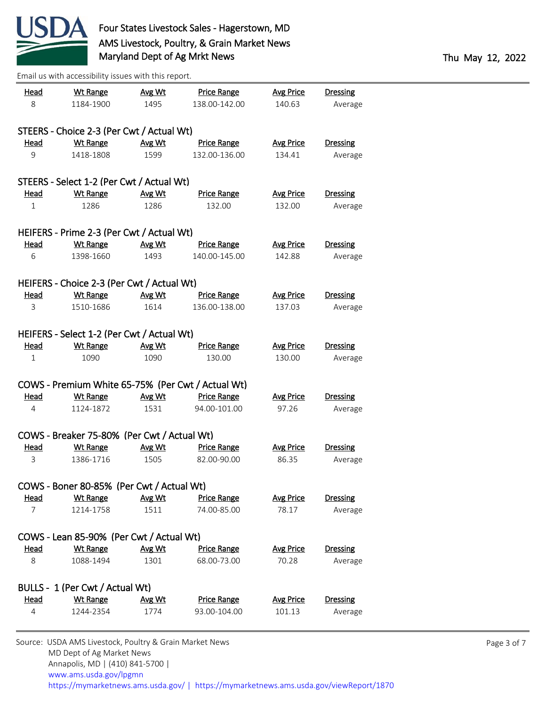

| <u>Head</u>    | <b>Wt Range</b>                                   | Avg Wt | <b>Price Range</b> | <b>Avg Price</b> | <b>Dressing</b> |  |  |  |
|----------------|---------------------------------------------------|--------|--------------------|------------------|-----------------|--|--|--|
| 8              | 1184-1900                                         | 1495   | 138.00-142.00      | 140.63           | Average         |  |  |  |
|                |                                                   |        |                    |                  |                 |  |  |  |
|                | STEERS - Choice 2-3 (Per Cwt / Actual Wt)         |        |                    |                  |                 |  |  |  |
| <b>Head</b>    | Wt Range                                          | Avg Wt | <b>Price Range</b> | <b>Avg Price</b> | <b>Dressing</b> |  |  |  |
| 9              | 1418-1808                                         | 1599   | 132.00-136.00      | 134.41           | Average         |  |  |  |
|                |                                                   |        |                    |                  |                 |  |  |  |
|                | STEERS - Select 1-2 (Per Cwt / Actual Wt)         |        |                    |                  |                 |  |  |  |
| <b>Head</b>    | <b>Wt Range</b>                                   | Avg Wt | <b>Price Range</b> | <b>Avg Price</b> | <b>Dressing</b> |  |  |  |
| $\mathbf 1$    | 1286                                              | 1286   | 132.00             | 132.00           | Average         |  |  |  |
|                |                                                   |        |                    |                  |                 |  |  |  |
|                | HEIFERS - Prime 2-3 (Per Cwt / Actual Wt)         |        |                    |                  |                 |  |  |  |
| <u>Head</u>    | <b>Wt Range</b>                                   | Avg Wt | <b>Price Range</b> | <b>Avg Price</b> | <b>Dressing</b> |  |  |  |
| 6              | 1398-1660                                         | 1493   | 140.00-145.00      | 142.88           | Average         |  |  |  |
|                |                                                   |        |                    |                  |                 |  |  |  |
|                | HEIFERS - Choice 2-3 (Per Cwt / Actual Wt)        |        |                    |                  |                 |  |  |  |
| <u>Head</u>    | <b>Wt Range</b>                                   | Avg Wt | <b>Price Range</b> | <b>Avg Price</b> | Dressing        |  |  |  |
| 3              | 1510-1686                                         | 1614   | 136.00-138.00      | 137.03           | Average         |  |  |  |
|                |                                                   |        |                    |                  |                 |  |  |  |
|                | HEIFERS - Select 1-2 (Per Cwt / Actual Wt)        |        |                    |                  |                 |  |  |  |
| <u>Head</u>    | <b>Wt Range</b>                                   | Avg Wt | <b>Price Range</b> | <b>Avg Price</b> | <b>Dressing</b> |  |  |  |
| $\mathbf{1}$   | 1090                                              | 1090   | 130.00             | 130.00           | Average         |  |  |  |
|                |                                                   |        |                    |                  |                 |  |  |  |
|                | COWS - Premium White 65-75% (Per Cwt / Actual Wt) |        |                    |                  |                 |  |  |  |
| <b>Head</b>    | <b>Wt Range</b>                                   | Avg Wt | <b>Price Range</b> | <b>Avg Price</b> | <b>Dressing</b> |  |  |  |
| 4              | 1124-1872                                         | 1531   | 94.00-101.00       | 97.26            | Average         |  |  |  |
|                |                                                   |        |                    |                  |                 |  |  |  |
|                | COWS - Breaker 75-80% (Per Cwt / Actual Wt)       |        |                    |                  |                 |  |  |  |
| <b>Head</b>    | <b>Wt Range</b>                                   | Avg Wt | <b>Price Range</b> | <b>Avg Price</b> | <b>Dressing</b> |  |  |  |
| 3              | 1386-1716                                         | 1505   | 82.00-90.00        | 86.35            | Average         |  |  |  |
|                |                                                   |        |                    |                  |                 |  |  |  |
|                | COWS - Boner 80-85% (Per Cwt / Actual Wt)         |        |                    |                  |                 |  |  |  |
| Head           | <b>Wt Range</b>                                   | Avg Wt | <b>Price Range</b> | <b>Avg Price</b> | <b>Dressing</b> |  |  |  |
| $\overline{7}$ | 1214-1758                                         | 1511   | 74.00-85.00        | 78.17            | Average         |  |  |  |
|                |                                                   |        |                    |                  |                 |  |  |  |
|                | COWS - Lean 85-90% (Per Cwt / Actual Wt)          |        |                    |                  |                 |  |  |  |
| <u>Head</u>    | <b>Wt Range</b>                                   | Avg Wt | <b>Price Range</b> | <b>Avg Price</b> | <b>Dressing</b> |  |  |  |
| 8              | 1088-1494                                         | 1301   | 68.00-73.00        | 70.28            | Average         |  |  |  |
|                |                                                   |        |                    |                  |                 |  |  |  |
|                | BULLS - 1 (Per Cwt / Actual Wt)                   |        |                    |                  |                 |  |  |  |
| <u>Head</u>    | <b>Wt Range</b>                                   | Avg Wt | <b>Price Range</b> | <b>Avg Price</b> | <b>Dressing</b> |  |  |  |
| 4              | 1244-2354                                         | 1774   | 93.00-104.00       | 101.13           | Average         |  |  |  |
|                |                                                   |        |                    |                  |                 |  |  |  |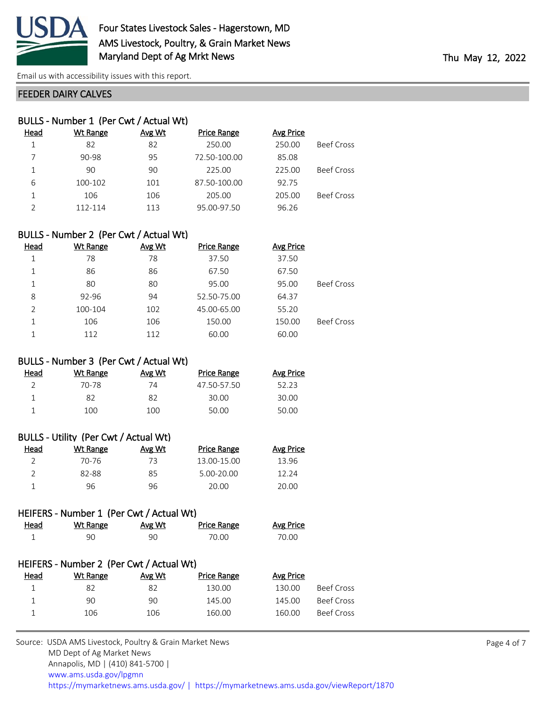

#### FEEDER DAIRY CALVES

| BULLS - Number 1 (Per Cwt / Actual Wt) |          |        |                    |                  |                   |  |  |
|----------------------------------------|----------|--------|--------------------|------------------|-------------------|--|--|
| Head                                   | Wt Range | Avg Wt | <b>Price Range</b> | <b>Avg Price</b> |                   |  |  |
|                                        | 82       | 82     | 250.00             | 250.00           | <b>Beef Cross</b> |  |  |
|                                        | 90-98    | 95     | 72.50-100.00       | 85.08            |                   |  |  |
| 1                                      | 90       | 90     | 225.00             | 225.00           | <b>Beef Cross</b> |  |  |
| 6                                      | 100-102  | 101    | 87.50-100.00       | 92.75            |                   |  |  |
| 1                                      | 106      | 106    | 205.00             | 205.00           | <b>Beef Cross</b> |  |  |
|                                        | 112-114  | 113    | 95.00-97.50        | 96.26            |                   |  |  |

| BULLS - Number 2 (Per Cwt / Actual Wt) |          |               |                    |           |                   |  |  |
|----------------------------------------|----------|---------------|--------------------|-----------|-------------------|--|--|
| <b>Head</b>                            | Wt Range | <b>Avg Wt</b> | <b>Price Range</b> | Avg Price |                   |  |  |
|                                        | 78       | 78            | 37.50              | 37.50     |                   |  |  |
| 1                                      | 86       | 86            | 67.50              | 67.50     |                   |  |  |
| 1                                      | 80       | 80            | 95.00              | 95.00     | <b>Beef Cross</b> |  |  |
| 8                                      | 92-96    | 94            | 52.50-75.00        | 64.37     |                   |  |  |
| $\mathcal{P}$                          | 100-104  | 102           | 45.00-65.00        | 55.20     |                   |  |  |
|                                        | 106      | 106           | 150.00             | 150.00    | <b>Beef Cross</b> |  |  |
|                                        | 112      | 112           | 60.00              | 60.00     |                   |  |  |

#### BULLS - Number 3 (Per Cwt / Actual Wt)

| Head | Wt Range | Avg Wt | Price Range | <b>Avg Price</b> |
|------|----------|--------|-------------|------------------|
|      | 70-78    | 74     | 47.50-57.50 | 52.23            |
|      | 82       | 82     | 30.00       | 30.00            |
|      | 100      | 100    | 50.00       | 50.00            |
|      |          |        |             |                  |

| BULLS - Utility (Per Cwt / Actual Wt) |          |        |                    |                  |  |  |  |
|---------------------------------------|----------|--------|--------------------|------------------|--|--|--|
| Head                                  | Wt Range | Avg Wt | <b>Price Range</b> | <b>Avg Price</b> |  |  |  |
| $\mathcal{P}$                         | 70-76    | 73     | 13.00-15.00        | 13.96            |  |  |  |
|                                       | 82-88    | 85     | 5.00-20.00         | 12.24            |  |  |  |
|                                       | 96       | 96     | 20.00              | 20.00            |  |  |  |

## HEIFERS - Number 1 (Per Cwt / Actual Wt)

| <b>Head</b> | Wt Range | <u>Avg Wt</u> | <b>Price Range</b> | <b>Avg Price</b> |
|-------------|----------|---------------|--------------------|------------------|
|             | 90       | 90            | 70.00              | 70.00            |

#### HEIFERS - Number 2 (Per Cwt / Actual Wt) Head Wt Range Avg Wt Price Range Avg Price

|     | $  -$ |        |        |            |
|-----|-------|--------|--------|------------|
|     | 82    | 130.00 | 130.00 | Beef Cross |
| 90  | 90    | 145.00 | 145.00 | Beef Cross |
| 106 | 106   | 160.00 | 160.00 | Beef Cross |
|     |       |        |        |            |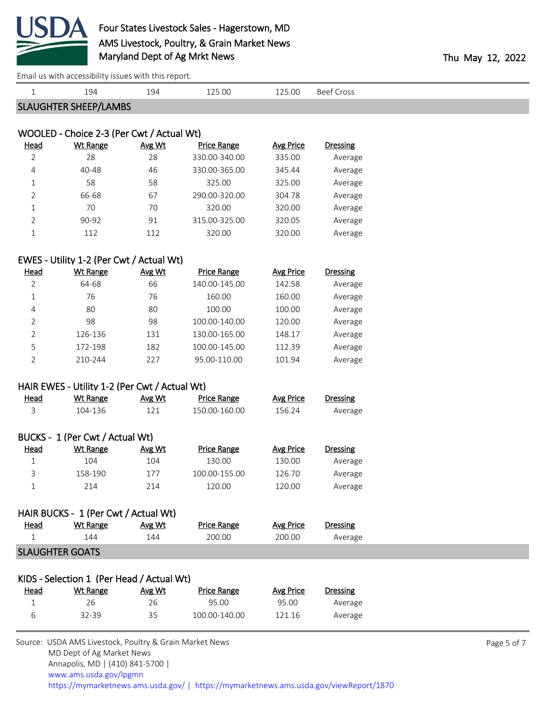

|                | Effiail us with accessibility issues with this report. |        |                    |                  |                   |
|----------------|--------------------------------------------------------|--------|--------------------|------------------|-------------------|
| $\mathbf{1}$   | 194                                                    | 194    | 125.00             | 125.00           | <b>Beef Cross</b> |
|                | <b>SLAUGHTER SHEEP/LAMBS</b>                           |        |                    |                  |                   |
|                |                                                        |        |                    |                  |                   |
|                | WOOLED - Choice 2-3 (Per Cwt / Actual Wt)              |        |                    |                  |                   |
| <b>Head</b>    | <b>Wt Range</b>                                        | Avg Wt | <b>Price Range</b> | <b>Avg Price</b> | Dressing          |
| $\overline{2}$ | 28                                                     | 28     | 330.00-340.00      | 335.00           | Average           |
| 4              | 40-48                                                  | 46     | 330.00-365.00      | 345.44           | Average           |
| $\mathbf{1}$   | 58                                                     | 58     | 325.00             | 325.00           | Average           |
| 2              | 66-68                                                  | 67     | 290.00-320.00      | 304.78           | Average           |
| $\mathbf{1}$   | 70                                                     | 70     | 320.00             | 320.00           | Average           |
| $\overline{2}$ | 90-92                                                  | 91     | 315.00-325.00      | 320.05           | Average           |
| $\mathbf{1}$   | 112                                                    | 112    | 320.00             | 320.00           | Average           |
|                | EWES - Utility 1-2 (Per Cwt / Actual Wt)               |        |                    |                  |                   |
| <b>Head</b>    | <b>Wt Range</b>                                        | Avg Wt | <b>Price Range</b> | <b>Avg Price</b> | <b>Dressing</b>   |
| $\overline{2}$ | 64-68                                                  | 66     | 140.00-145.00      | 142.58           | Average           |
| $\mathbf{1}$   | 76                                                     | 76     | 160.00             | 160.00           | Average           |
| 4              | 80                                                     | 80     | 100.00             | 100.00           | Average           |
| $\overline{2}$ | 98                                                     | 98     | 100.00-140.00      | 120.00           | Average           |
| $\overline{2}$ | 126-136                                                | 131    | 130.00-165.00      | 148.17           | Average           |
| 5              | 172-198                                                | 182    | 100.00-145.00      | 112.39           | Average           |
| $\overline{2}$ | 210-244                                                | 227    | 95.00-110.00       | 101.94           | Average           |
|                |                                                        |        |                    |                  |                   |
|                | HAIR EWES - Utility 1-2 (Per Cwt / Actual Wt)          |        |                    |                  |                   |
| <b>Head</b>    | <b>Wt Range</b>                                        | Avg Wt | <b>Price Range</b> | <b>Avg Price</b> | <b>Dressing</b>   |
| 3              | 104-136                                                | 121    | 150.00-160.00      | 156.24           | Average           |
|                |                                                        |        |                    |                  |                   |
|                | BUCKS - 1 (Per Cwt / Actual Wt)                        |        |                    |                  |                   |
| Head           | <b>Wt Range</b>                                        | Avg Wt | <b>Price Range</b> | <b>Avg Price</b> | <b>Dressing</b>   |
| $\mathbf 1$    | 104                                                    | 104    | 130.00             | 130.00           | Average           |
| 3              | 158-190                                                | 177    | 100.00-155.00      | 126.70           | Average           |
| 1              | 214                                                    | 214    | 120.00             | 120.00           | Average           |
|                |                                                        |        |                    |                  |                   |
|                | HAIR BUCKS - 1 (Per Cwt / Actual Wt)                   |        |                    |                  |                   |
| <u>Head</u>    | <b>Wt Range</b>                                        | Avg Wt | <b>Price Range</b> | <b>Avg Price</b> | <b>Dressing</b>   |
| 1              | 144                                                    | 144    | 200.00             | 200.00           | Average           |
|                | <b>SLAUGHTER GOATS</b>                                 |        |                    |                  |                   |
|                |                                                        |        |                    |                  |                   |
|                | KIDS - Selection 1 (Per Head / Actual Wt)              |        |                    |                  |                   |
| Head           | <b>Wt Range</b>                                        | Avg Wt | <b>Price Range</b> | <b>Avg Price</b> | <b>Dressing</b>   |
| 1              | 26                                                     | 26     | 95.00              | 95.00            | Average           |
| 6              | 32-39                                                  | 35     | 100.00-140.00      | 121.16           | Average           |
|                |                                                        |        |                    |                  |                   |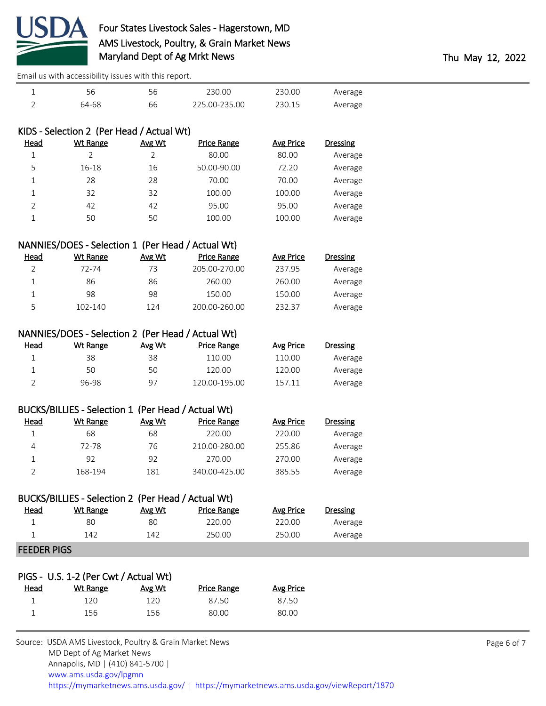

| Average | 230.00 | 230.00        |    |       |   |
|---------|--------|---------------|----|-------|---|
| Average | ?30.15 | 225.00-235.00 | 66 | 64-68 | ∽ |

# KIDS - Selection 2 (Per Head / Actual Wt)

| <u>Head</u> | <b>Wt Range</b> | Avg Wt | <b>Price Range</b> | <b>Avg Price</b> | Dressing |
|-------------|-----------------|--------|--------------------|------------------|----------|
| 1           |                 |        | 80.00              | 80.00            | Average  |
| 5           | $16 - 18$       | 16     | 50.00-90.00        | 72.20            | Average  |
| 1           | 28              | 28     | 70.00              | 70.00            | Average  |
| 1           | 32              | 32     | 100.00             | 100.00           | Average  |
|             | 42              | 42     | 95.00              | 95.00            | Average  |
|             | 50              | 50     | 100.00             | 100.00           | Average  |

| NANNIES/DOES - Selection 1 (Per Head / Actual Wt) |          |        |               |           |          |  |
|---------------------------------------------------|----------|--------|---------------|-----------|----------|--|
| <u>Head</u>                                       | Wt Range | Avg Wt | Price Range   | Avg Price | Dressing |  |
|                                                   | 72-74    | 73     | 205.00-270.00 | 237.95    | Average  |  |
|                                                   | 86       | 86     | 260.00        | 260.00    | Average  |  |
|                                                   | 98       | 98     | 150.00        | 150.00    | Average  |  |
| 5                                                 | 102-140  | 124    | 200.00-260.00 | 232.37    | Average  |  |

# NANNIES/DOES - Selection 2 (Per Head / Actual Wt)

| <u>Head</u> | Wt Range | Avg Wt | Price Range   | Avg Price | Dressing |
|-------------|----------|--------|---------------|-----------|----------|
|             | 38       | 38     | 110.00        | 110.00    | Average  |
|             | 50       | 50     | 120.00        | 120.00    | Average  |
|             | 96-98    | -97    | 120.00-195.00 | 157.11    | Average  |

## BUCKS/BILLIES - Selection 1 (Per Head / Actual Wt)

| Head | Wt Range | Avg Wt | Price Range   | Avg Price | <b>Dressing</b> |
|------|----------|--------|---------------|-----------|-----------------|
|      | 68       | 68     | 220.00        | 220.00    | Average         |
| 4    | 72-78    | 76     | 210.00-280.00 | 255.86    | Average         |
|      | 92       | 92     | 270.00        | 270.00    | Average         |
|      | 168-194  | 181    | 340.00-425.00 | 385.55    | Average         |

| BUCKS/BILLIES - Selection 2 (Per Head / Actual Wt) |          |        |             |           |          |  |  |
|----------------------------------------------------|----------|--------|-------------|-----------|----------|--|--|
| Head                                               | Wt Range | Avg Wt | Price Range | Avg Price | Dressing |  |  |
|                                                    | 80       | 80     | 220.00      | 220.00    | Average  |  |  |
|                                                    | 142      | 142    | 250.00      | 250.00    | Average  |  |  |
| <b>FEEDED DICC</b>                                 |          |        |             |           |          |  |  |

#### FEEDER PIGS

|      | PIGS - U.S. 1-2 (Per Cwt / Actual Wt) |        |                    |           |
|------|---------------------------------------|--------|--------------------|-----------|
| Head | Wt Range                              | Avg Wt | <b>Price Range</b> | Avg Price |
|      | 120.                                  | 120    | 87.50              | 87.50     |
|      | 156                                   | 156    | 80.00              | 80.00     |